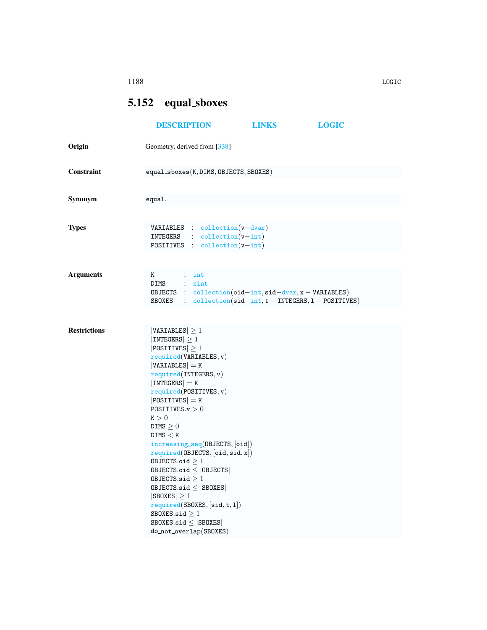## <span id="page-0-0"></span>5.152 equal sboxes

|                     | <b>DESCRIPTION</b>                                                                                                                                                                                                                                                                                                                                                                                                                                                                                                                                                                                 | <b>LINKS</b> | <b>LOGIC</b> |  |  |  |  |
|---------------------|----------------------------------------------------------------------------------------------------------------------------------------------------------------------------------------------------------------------------------------------------------------------------------------------------------------------------------------------------------------------------------------------------------------------------------------------------------------------------------------------------------------------------------------------------------------------------------------------------|--------------|--------------|--|--|--|--|
| Origin              | Geometry, derived from [338]                                                                                                                                                                                                                                                                                                                                                                                                                                                                                                                                                                       |              |              |  |  |  |  |
| Constraint          | $equal_sboxes(K, DIMS, OBJECTS, SBOKES)$                                                                                                                                                                                                                                                                                                                                                                                                                                                                                                                                                           |              |              |  |  |  |  |
| Synonym             | equal.                                                                                                                                                                                                                                                                                                                                                                                                                                                                                                                                                                                             |              |              |  |  |  |  |
| <b>Types</b>        | <b>VARIABLES</b> : $\text{collection}(v-\text{dvar})$<br>$INTEGRS$ : $\text{collection}(v\text{-}int)$<br><b>POSITIVES</b> : $\text{collection}(v\text{-}int)$                                                                                                                                                                                                                                                                                                                                                                                                                                     |              |              |  |  |  |  |
| <b>Arguments</b>    | K<br>$\therefore$ int<br>DIMS : sint<br>OBJECTS : $collection(oid-int, sid-dvar, x - VARIABLES)$<br>SBOXES : $\text{collection}(\text{sid-int}, t - \text{INTERS}, 1 - \text{POSTTIVES})$                                                                                                                                                                                                                                                                                                                                                                                                          |              |              |  |  |  |  |
| <b>Restrictions</b> | $ VARIABLES  \geq 1$<br>$ INTEGERS  \geq 1$<br>$ POSITIVES  \geq 1$<br>required(VARIABLES, v)<br>$ VARIABLES  = K$<br>required(INTERS, v)<br>$ INTEGERS  = K$<br>required(POSTTIVES, v)<br>$ POSITIVES $ = K<br>POSITIVES. $v > 0$<br>K > 0<br>DIMS $\geq 0$<br>DIMS < K<br>increasing_seq(OBJECTS, [oid])<br>required(0BJECTS, [oid, sid, x])<br>OBJECTS.oid $\geq 1$<br>$0$ BJECTS.oid $\leq$   0BJECTS  <br>OBJECTS.sid $\geq 1$<br>$0$ BJECTS.sid $\leq$ SBOXES<br>$ SBOKES  \geq 1$<br>required(SBOXES, [sid, t, 1])<br>SBOKES.size > 1<br>SBOXES.sid $\leq$ SBOXES<br>do_not_overlap(SBOXES) |              |              |  |  |  |  |

1188 LOGIC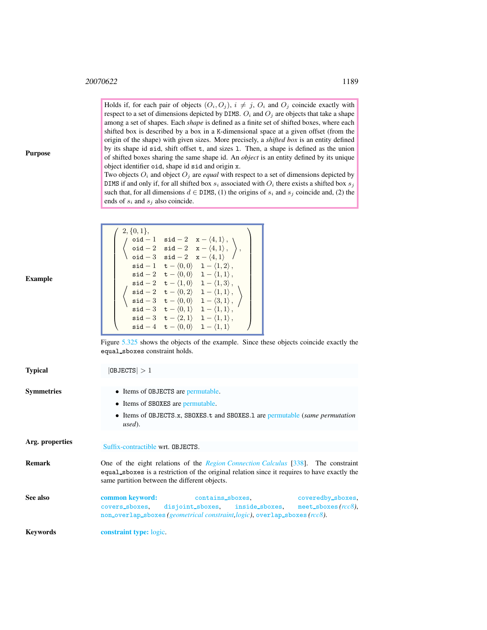Holds if, for each pair of objects  $(O_i, O_j)$ ,  $i \neq j$ ,  $O_i$  and  $O_j$  coincide exactly with respect to a set of dimensions depicted by DIMS.  $O_i$  and  $O_j$  are objects that take a shape among a set of shapes. Each *shape* is defined as a finite set of shifted boxes, where each shifted box is described by a box in a K-dimensional space at a given offset (from the origin of the shape) with given sizes. More precisely, a *shifted box* is an entity defined by its shape id sid, shift offset t, and sizes l. Then, a shape is defined as the union of shifted boxes sharing the same shape id. An *object* is an entity defined by its unique object identifier oid, shape id sid and origin x.

Two objects  $O_i$  and object  $O_j$  are *equal* with respect to a set of dimensions depicted by DIMS if and only if, for all shifted box  $s_i$  associated with  $O_i$  there exists a shifted box  $s_j$ such that, for all dimensions  $d \in \text{DIMS}$ , (1) the origins of  $s_i$  and  $s_j$  coincide and, (2) the ends of  $s_i$  and  $s_j$  also coincide.

| Example |
|---------|
|---------|

 $\textbf{Typical}$  |  $\text{DBJECTS}$  |  $> 1$ 

Purpose

| $\left\{\n \begin{array}{ll}\n 2, \{0,1\}, \\ \text{oid} - 1 & \text{sid} - 2 & \text{x} - \langle 4,1\rangle, \\ \text{oid} - 2 & \text{sid} - 2 & \text{x} - \langle 4,1\rangle, \\ \text{oid} - 3 & \text{sid} - 2 & \text{x} - \langle 4,1\rangle\n \end{array}\n \right\},$<br>$\mathsf{sid} - 1 \quad \mathsf{t} - \langle 0, 0 \rangle \quad 1 - \langle 1, 2 \rangle \, ,$<br>$\mathsf{sid-2} \quad \mathsf{t}-\langle 0,0 \rangle \quad 1-\langle 1,1 \rangle\,,$<br>$\mathsf{sid-2} \quad \mathsf{t}-\langle 1,0\rangle \quad 1-\langle 1,3\rangle\,,$<br>$\left \begin{array}{ccc} \left\langle \begin{array}{cc} \text{sid} -2 & \text{t} - \langle 0, 2 \rangle & 1 - \langle 1, 1 \rangle \\ \text{sid} -3 & \text{t} - \langle 0, 0 \rangle & 1 - \langle 3, 1 \rangle \\ \end{array} \right\rangle \end{array} \right $<br>sid $-3$ t $ \langle 0,1 \rangle$ 1 $ \langle 1,1 \rangle$ , $\langle$<br>$\mathsf{sid-3} \quad \mathsf{t}-\langle 2,1\rangle \quad 1-\langle 1,1\rangle\,,$<br>$\mathsf{sid} - 4 \quad \mathsf{t} - \langle 0, 0 \rangle \quad 1 - \langle 1, 1 \rangle$ |  |  |  |
|------------------------------------------------------------------------------------------------------------------------------------------------------------------------------------------------------------------------------------------------------------------------------------------------------------------------------------------------------------------------------------------------------------------------------------------------------------------------------------------------------------------------------------------------------------------------------------------------------------------------------------------------------------------------------------------------------------------------------------------------------------------------------------------------------------------------------------------------------------------------------------------------------------------------------------------------------------------------------------------------------------------------------------------------------------------------------------------------------|--|--|--|
|                                                                                                                                                                                                                                                                                                                                                                                                                                                                                                                                                                                                                                                                                                                                                                                                                                                                                                                                                                                                                                                                                                      |  |  |  |
|                                                                                                                                                                                                                                                                                                                                                                                                                                                                                                                                                                                                                                                                                                                                                                                                                                                                                                                                                                                                                                                                                                      |  |  |  |
|                                                                                                                                                                                                                                                                                                                                                                                                                                                                                                                                                                                                                                                                                                                                                                                                                                                                                                                                                                                                                                                                                                      |  |  |  |
|                                                                                                                                                                                                                                                                                                                                                                                                                                                                                                                                                                                                                                                                                                                                                                                                                                                                                                                                                                                                                                                                                                      |  |  |  |
|                                                                                                                                                                                                                                                                                                                                                                                                                                                                                                                                                                                                                                                                                                                                                                                                                                                                                                                                                                                                                                                                                                      |  |  |  |
|                                                                                                                                                                                                                                                                                                                                                                                                                                                                                                                                                                                                                                                                                                                                                                                                                                                                                                                                                                                                                                                                                                      |  |  |  |
|                                                                                                                                                                                                                                                                                                                                                                                                                                                                                                                                                                                                                                                                                                                                                                                                                                                                                                                                                                                                                                                                                                      |  |  |  |
|                                                                                                                                                                                                                                                                                                                                                                                                                                                                                                                                                                                                                                                                                                                                                                                                                                                                                                                                                                                                                                                                                                      |  |  |  |
|                                                                                                                                                                                                                                                                                                                                                                                                                                                                                                                                                                                                                                                                                                                                                                                                                                                                                                                                                                                                                                                                                                      |  |  |  |
|                                                                                                                                                                                                                                                                                                                                                                                                                                                                                                                                                                                                                                                                                                                                                                                                                                                                                                                                                                                                                                                                                                      |  |  |  |
|                                                                                                                                                                                                                                                                                                                                                                                                                                                                                                                                                                                                                                                                                                                                                                                                                                                                                                                                                                                                                                                                                                      |  |  |  |
|                                                                                                                                                                                                                                                                                                                                                                                                                                                                                                                                                                                                                                                                                                                                                                                                                                                                                                                                                                                                                                                                                                      |  |  |  |

<span id="page-1-0"></span>

| Symmetries      | • Items of OBJECTS are permutable.<br>• Items of SBOXES are permutable.                                                                                                                                                                    |                                                                                                                                                                         |  |                   |  |
|-----------------|--------------------------------------------------------------------------------------------------------------------------------------------------------------------------------------------------------------------------------------------|-------------------------------------------------------------------------------------------------------------------------------------------------------------------------|--|-------------------|--|
|                 | • Items of OBJECTS.x, SBOXES.t and SBOXES.1 are permutable (same permutation<br>used).                                                                                                                                                     |                                                                                                                                                                         |  |                   |  |
| Arg. properties | Suffix-contractible wrt. OBJECTS.                                                                                                                                                                                                          |                                                                                                                                                                         |  |                   |  |
| Remark          | One of the eight relations of the <i>Region Connection Calculus</i> [338]. The constraint<br>equal spokes is a restriction of the original relation since it requires to have exactly the<br>same partition between the different objects. |                                                                                                                                                                         |  |                   |  |
| See also        | common keyword:<br>covers_sboxes.                                                                                                                                                                                                          | contains_sboxes,<br>disjoint_sboxes, inside_sboxes, meet_sboxes( $rcc8$ ),<br>non_overlap_sboxes( <i>geometrical constraint,logic</i> ), overlap_sboxes( <i>rcc8</i> ). |  | coveredby_sboxes, |  |
| Kevwords        | <b>constraint type:</b> logic.                                                                                                                                                                                                             |                                                                                                                                                                         |  |                   |  |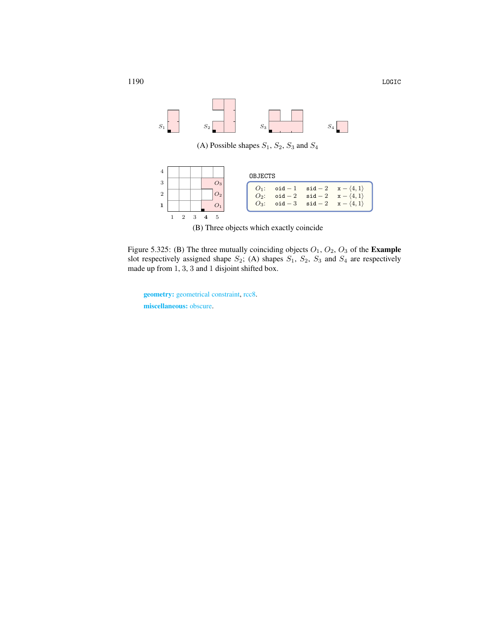

(A) Possible shapes  $S_1$ ,  $S_2$ ,  $S_3$  and  $S_4$ 



<span id="page-2-0"></span>(B) Three objects which exactly coincide

Figure 5.325: (B) The three mutually coinciding objects  $O_1$ ,  $O_2$ ,  $O_3$  of the **Example** slot respectively assigned shape  $S_2$ ; (A) shapes  $S_1$ ,  $S_2$ ,  $S_3$  and  $S_4$  are respectively made up from 1, 3, 3 and 1 disjoint shifted box.

geometry: geometrical constraint, rcc8. miscellaneous: obscure.